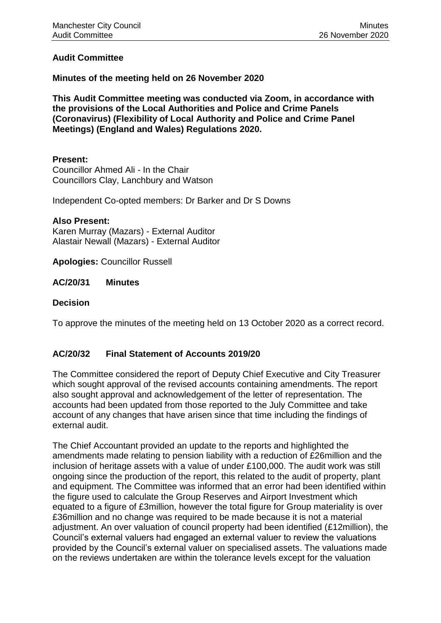### **Audit Committee**

### **Minutes of the meeting held on 26 November 2020**

**This Audit Committee meeting was conducted via Zoom, in accordance with the provisions of the Local Authorities and Police and Crime Panels (Coronavirus) (Flexibility of Local Authority and Police and Crime Panel Meetings) (England and Wales) Regulations 2020.**

#### **Present:**

Councillor Ahmed Ali - In the Chair Councillors Clay, Lanchbury and Watson

Independent Co-opted members: Dr Barker and Dr S Downs

#### **Also Present:**

Karen Murray (Mazars) - External Auditor Alastair Newall (Mazars) - External Auditor

**Apologies:** Councillor Russell

**AC/20/31 Minutes** 

### **Decision**

To approve the minutes of the meeting held on 13 October 2020 as a correct record.

### **AC/20/32 Final Statement of Accounts 2019/20**

The Committee considered the report of Deputy Chief Executive and City Treasurer which sought approval of the revised accounts containing amendments. The report also sought approval and acknowledgement of the letter of representation. The accounts had been updated from those reported to the July Committee and take account of any changes that have arisen since that time including the findings of external audit.

The Chief Accountant provided an update to the reports and highlighted the amendments made relating to pension liability with a reduction of £26million and the inclusion of heritage assets with a value of under £100,000. The audit work was still ongoing since the production of the report, this related to the audit of property, plant and equipment. The Committee was informed that an error had been identified within the figure used to calculate the Group Reserves and Airport Investment which equated to a figure of £3million, however the total figure for Group materiality is over £36million and no change was required to be made because it is not a material adjustment. An over valuation of council property had been identified (£12million), the Council's external valuers had engaged an external valuer to review the valuations provided by the Council's external valuer on specialised assets. The valuations made on the reviews undertaken are within the tolerance levels except for the valuation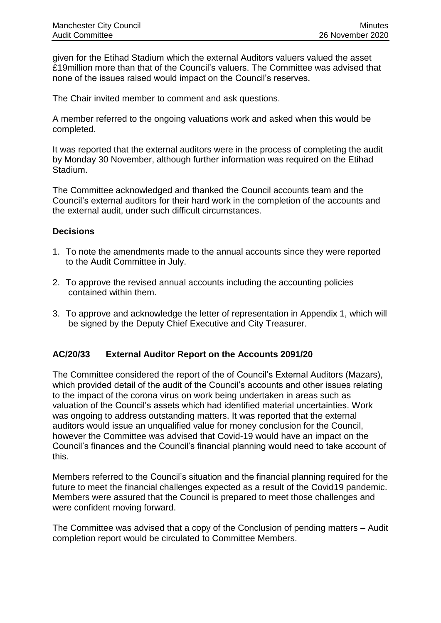given for the Etihad Stadium which the external Auditors valuers valued the asset £19million more than that of the Council's valuers. The Committee was advised that none of the issues raised would impact on the Council's reserves.

The Chair invited member to comment and ask questions.

A member referred to the ongoing valuations work and asked when this would be completed.

It was reported that the external auditors were in the process of completing the audit by Monday 30 November, although further information was required on the Etihad Stadium.

The Committee acknowledged and thanked the Council accounts team and the Council's external auditors for their hard work in the completion of the accounts and the external audit, under such difficult circumstances.

### **Decisions**

- 1. To note the amendments made to the annual accounts since they were reported to the Audit Committee in July.
- 2. To approve the revised annual accounts including the accounting policies contained within them.
- 3. To approve and acknowledge the letter of representation in Appendix 1, which will be signed by the Deputy Chief Executive and City Treasurer.

### **AC/20/33 External Auditor Report on the Accounts 2091/20**

The Committee considered the report of the of Council's External Auditors (Mazars), which provided detail of the audit of the Council's accounts and other issues relating to the impact of the corona virus on work being undertaken in areas such as valuation of the Council's assets which had identified material uncertainties. Work was ongoing to address outstanding matters. It was reported that the external auditors would issue an unqualified value for money conclusion for the Council, however the Committee was advised that Covid-19 would have an impact on the Council's finances and the Council's financial planning would need to take account of this.

Members referred to the Council's situation and the financial planning required for the future to meet the financial challenges expected as a result of the Covid19 pandemic. Members were assured that the Council is prepared to meet those challenges and were confident moving forward.

The Committee was advised that a copy of the Conclusion of pending matters – Audit completion report would be circulated to Committee Members.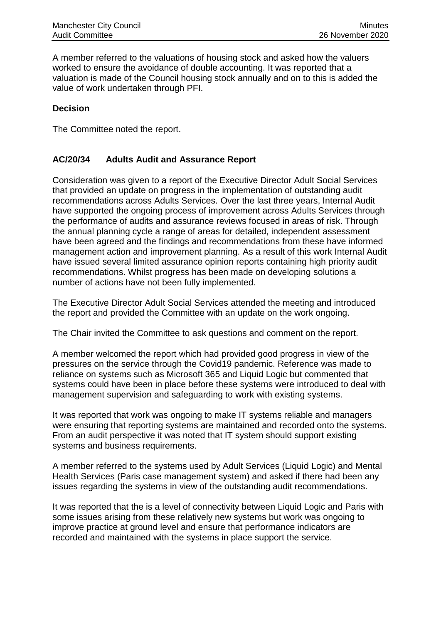A member referred to the valuations of housing stock and asked how the valuers worked to ensure the avoidance of double accounting. It was reported that a valuation is made of the Council housing stock annually and on to this is added the value of work undertaken through PFI.

# **Decision**

The Committee noted the report.

# **AC/20/34 Adults Audit and Assurance Report**

Consideration was given to a report of the Executive Director Adult Social Services that provided an update on progress in the implementation of outstanding audit recommendations across Adults Services. Over the last three years, Internal Audit have supported the ongoing process of improvement across Adults Services through the performance of audits and assurance reviews focused in areas of risk. Through the annual planning cycle a range of areas for detailed, independent assessment have been agreed and the findings and recommendations from these have informed management action and improvement planning. As a result of this work Internal Audit have issued several limited assurance opinion reports containing high priority audit recommendations. Whilst progress has been made on developing solutions a number of actions have not been fully implemented.

The Executive Director Adult Social Services attended the meeting and introduced the report and provided the Committee with an update on the work ongoing.

The Chair invited the Committee to ask questions and comment on the report.

A member welcomed the report which had provided good progress in view of the pressures on the service through the Covid19 pandemic. Reference was made to reliance on systems such as Microsoft 365 and Liquid Logic but commented that systems could have been in place before these systems were introduced to deal with management supervision and safeguarding to work with existing systems.

It was reported that work was ongoing to make IT systems reliable and managers were ensuring that reporting systems are maintained and recorded onto the systems. From an audit perspective it was noted that IT system should support existing systems and business requirements.

A member referred to the systems used by Adult Services (Liquid Logic) and Mental Health Services (Paris case management system) and asked if there had been any issues regarding the systems in view of the outstanding audit recommendations.

It was reported that the is a level of connectivity between Liquid Logic and Paris with some issues arising from these relatively new systems but work was ongoing to improve practice at ground level and ensure that performance indicators are recorded and maintained with the systems in place support the service.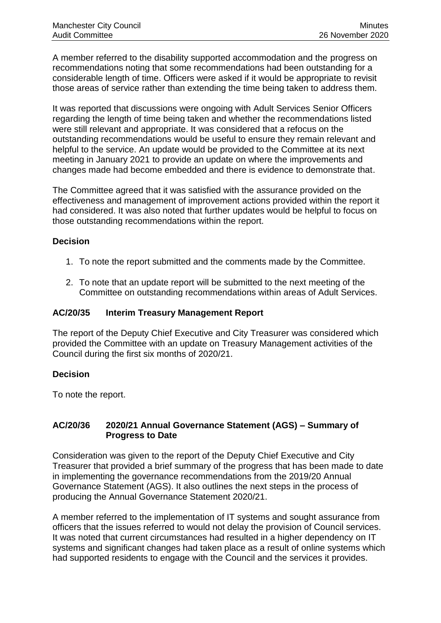A member referred to the disability supported accommodation and the progress on recommendations noting that some recommendations had been outstanding for a considerable length of time. Officers were asked if it would be appropriate to revisit those areas of service rather than extending the time being taken to address them.

It was reported that discussions were ongoing with Adult Services Senior Officers regarding the length of time being taken and whether the recommendations listed were still relevant and appropriate. It was considered that a refocus on the outstanding recommendations would be useful to ensure they remain relevant and helpful to the service. An update would be provided to the Committee at its next meeting in January 2021 to provide an update on where the improvements and changes made had become embedded and there is evidence to demonstrate that.

The Committee agreed that it was satisfied with the assurance provided on the effectiveness and management of improvement actions provided within the report it had considered. It was also noted that further updates would be helpful to focus on those outstanding recommendations within the report.

# **Decision**

- 1. To note the report submitted and the comments made by the Committee.
- 2. To note that an update report will be submitted to the next meeting of the Committee on outstanding recommendations within areas of Adult Services.

### **AC/20/35 Interim Treasury Management Report**

The report of the Deputy Chief Executive and City Treasurer was considered which provided the Committee with an update on Treasury Management activities of the Council during the first six months of 2020/21.

### **Decision**

To note the report.

### **AC/20/36 2020/21 Annual Governance Statement (AGS) – Summary of Progress to Date**

Consideration was given to the report of the Deputy Chief Executive and City Treasurer that provided a brief summary of the progress that has been made to date in implementing the governance recommendations from the 2019/20 Annual Governance Statement (AGS). It also outlines the next steps in the process of producing the Annual Governance Statement 2020/21.

A member referred to the implementation of IT systems and sought assurance from officers that the issues referred to would not delay the provision of Council services. It was noted that current circumstances had resulted in a higher dependency on IT systems and significant changes had taken place as a result of online systems which had supported residents to engage with the Council and the services it provides.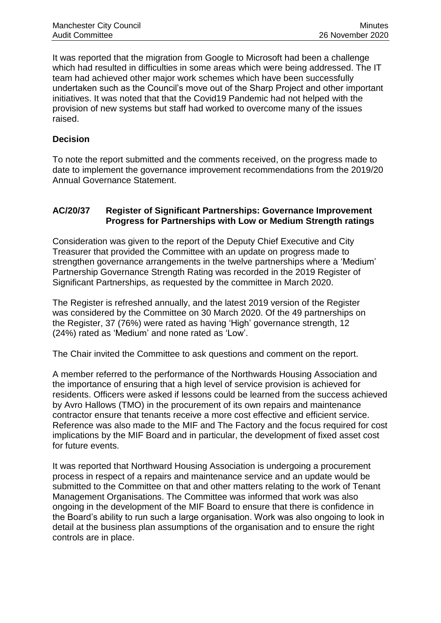It was reported that the migration from Google to Microsoft had been a challenge which had resulted in difficulties in some areas which were being addressed. The IT team had achieved other major work schemes which have been successfully undertaken such as the Council's move out of the Sharp Project and other important initiatives. It was noted that that the Covid19 Pandemic had not helped with the provision of new systems but staff had worked to overcome many of the issues raised.

## **Decision**

To note the report submitted and the comments received, on the progress made to date to implement the governance improvement recommendations from the 2019/20 Annual Governance Statement.

### **AC/20/37 Register of Significant Partnerships: Governance Improvement Progress for Partnerships with Low or Medium Strength ratings**

Consideration was given to the report of the Deputy Chief Executive and City Treasurer that provided the Committee with an update on progress made to strengthen governance arrangements in the twelve partnerships where a 'Medium' Partnership Governance Strength Rating was recorded in the 2019 Register of Significant Partnerships, as requested by the committee in March 2020.

The Register is refreshed annually, and the latest 2019 version of the Register was considered by the Committee on 30 March 2020. Of the 49 partnerships on the Register, 37 (76%) were rated as having 'High' governance strength, 12 (24%) rated as 'Medium' and none rated as 'Low'.

The Chair invited the Committee to ask questions and comment on the report.

A member referred to the performance of the Northwards Housing Association and the importance of ensuring that a high level of service provision is achieved for residents. Officers were asked if lessons could be learned from the success achieved by Avro Hallows (TMO) in the procurement of its own repairs and maintenance contractor ensure that tenants receive a more cost effective and efficient service. Reference was also made to the MIF and The Factory and the focus required for cost implications by the MIF Board and in particular, the development of fixed asset cost for future events.

It was reported that Northward Housing Association is undergoing a procurement process in respect of a repairs and maintenance service and an update would be submitted to the Committee on that and other matters relating to the work of Tenant Management Organisations. The Committee was informed that work was also ongoing in the development of the MIF Board to ensure that there is confidence in the Board's ability to run such a large organisation. Work was also ongoing to look in detail at the business plan assumptions of the organisation and to ensure the right controls are in place.